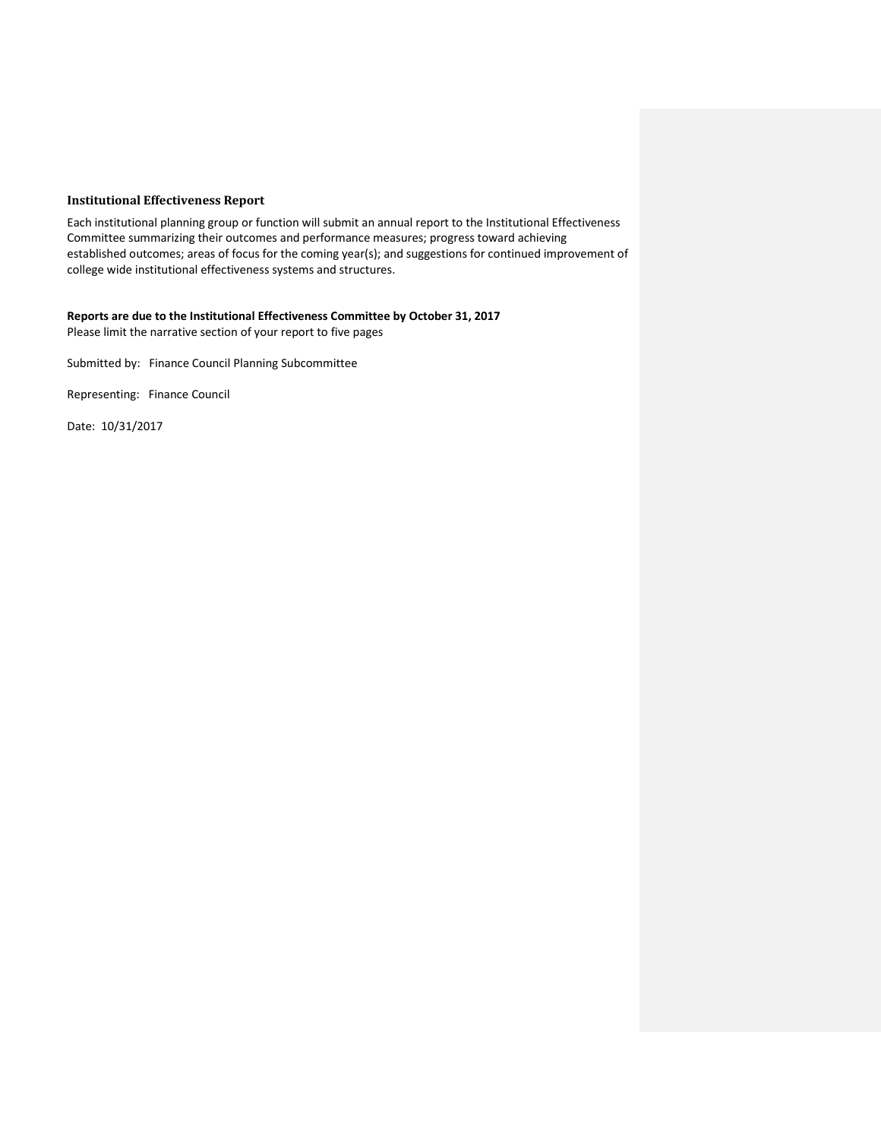## **Institutional Effectiveness Report**

Each institutional planning group or function will submit an annual report to the Institutional Effectiveness Committee summarizing their outcomes and performance measures; progress toward achieving established outcomes; areas of focus for the coming year(s); and suggestions for continued improvement of college wide institutional effectiveness systems and structures.

**Reports are due to the Institutional Effectiveness Committee by October 31, 2017** Please limit the narrative section of your report to five pages

Submitted by: Finance Council Planning Subcommittee

Representing: Finance Council

Date: 10/31/2017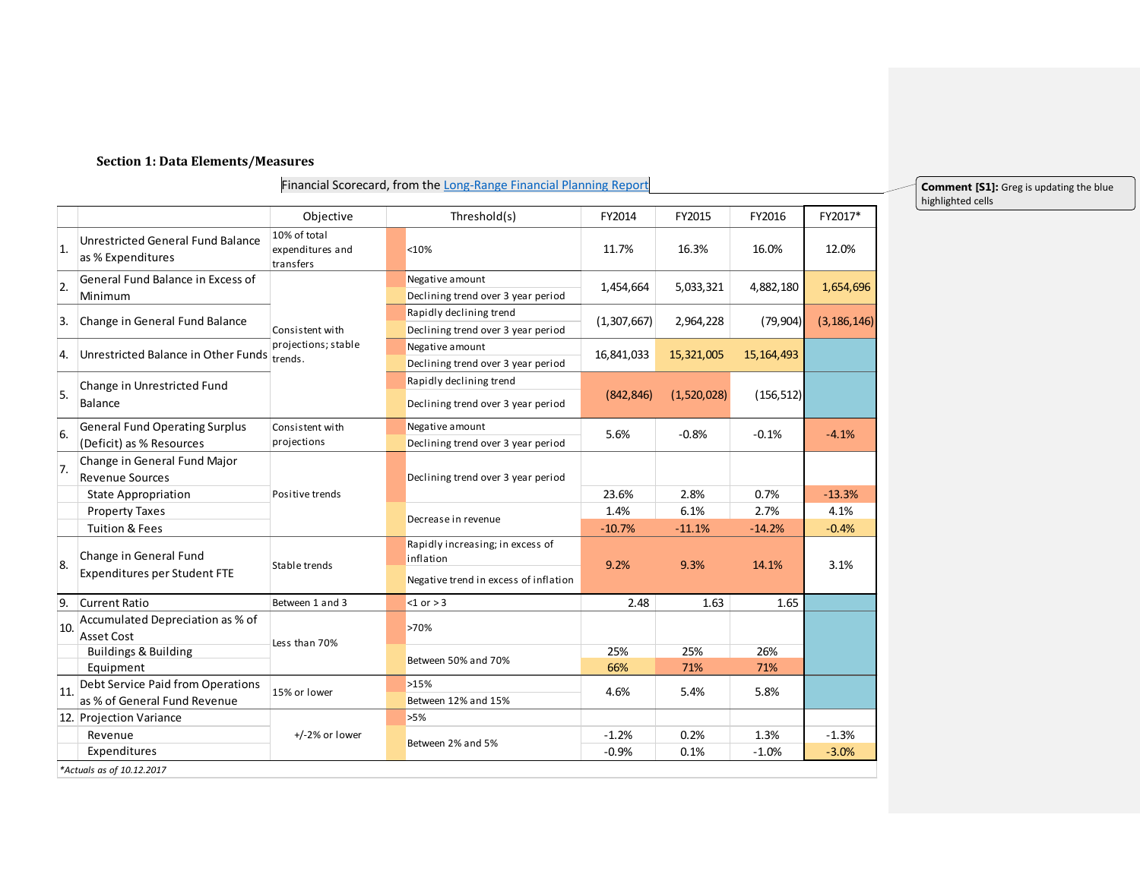#### **Section 1: Data Elements/Measures**

*\*Actuals as of 10.12.2017*

#### Financial Scorecard, from th[e Long-Range Financial Planning Report](https://www.lanecc.edu/sites/default/files/budget/2017-2021_long-range_financial_planning_report_-_final.pdf)

Objective FY2014 FY2015 FY2016 FY2017\* Threshold(s) 1. Unrestricted General Fund Balance as % Expenditures 10% of total expenditures and transfers <10% 11.7% 16.3% 16.0% 12.0% Negative amount Declining trend over 3 year period Rapidly declining trend Declining trend over 3 year period Negative amount Declining trend over 3 year period Rapidly declining trend Declining trend over 3 year period Balance (842,846) (1,520,028) (156,512) Negative amount Declining trend over 3 year period 7. Change in General Fund Major Revenue Sources State Appropriation **23.6%** 2.8% 0.7% -13.3% -13.3% Property Taxes **1.4% 6.1% 2.7% 2.7% 2.7% 1.4% 6.1% 2.7%** 2.7% 2.7% 2.41% Tuition & Fees -10.7% -11.1% -14.2% -0.4% Rapidly increasing; in excess of inflation Negative trend in excess of inflation 9. Current Ratio 6 and 3 3 and 3 3 and 3 3 and 3 3 and 41.65 1.65 in the set of  $\sim$  1.65 1.65 1.65 10. Accumulated Depreciation as % of Asset Cost >70% Buildings & Building 25% 25% 26% Equipment 66% 71% 71%  $>15%$ Between 12% and 15% 12. Projection Variance **12. In the set of the S**  $\sim$  5% Revenue -1.2% 0.2% 1.3% -1.3% Expenditures -0.9% 0.1% -1.0% -3.0% +/-2% or lower Between 2% and 5% 4.6% 5.4% 5.8% Between 50% and 70% Less than 70% 11. Debt Service Paid from Operations as % of General Fund Revenue 15% or lower Consistent with projections Positive trends 9.2% 9.3% 14.1% 3.1% Declining trend over 3 year period Decrease in revenue 8. Change in General Fund Expenditures per Student FTE 6. General Fund Operating Surplus Consistent with Negative amount 5.6% -0.8% -0.1% -0.1% -4.1% (Deficit) as % Resources  $-0.8%$ 5. Change in Unrestricted Fund Consistent with projections; stable 4. Unrestricted Balance in Other Funds  $\frac{1}{100}$  trends. 3. Change in General Fund Balance **(1,307,667)** (1,307,667) 2,964,228 (79,904) (3,186,146) 2. General Fund Balance in Excess of Negative amount 1,454,664 5,033,321 4,882,180 1,654,696 Minimum 5,033,321

**Comment [S1]:** Greg is updating the blue highlighted cells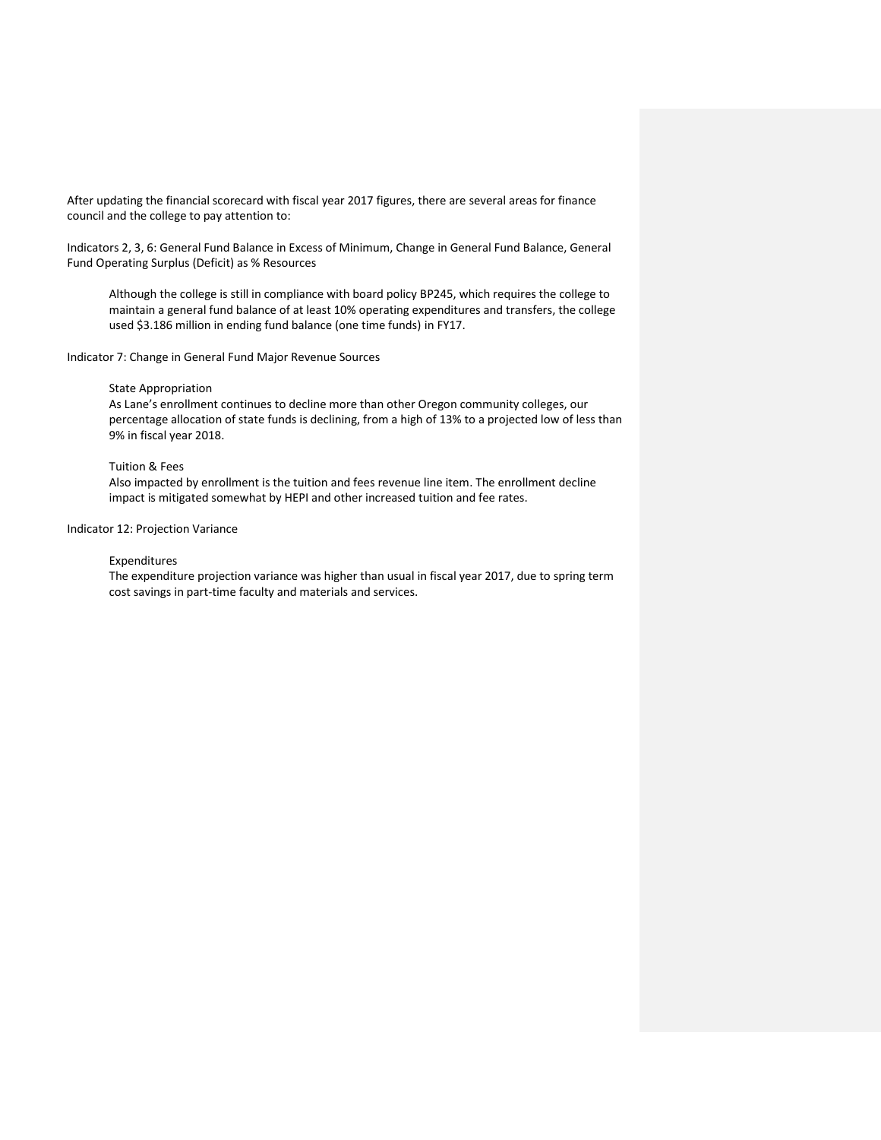After updating the financial scorecard with fiscal year 2017 figures, there are several areas for finance council and the college to pay attention to:

Indicators 2, 3, 6: General Fund Balance in Excess of Minimum, Change in General Fund Balance, General Fund Operating Surplus (Deficit) as % Resources

Although the college is still in compliance with board policy BP245, which requires the college to maintain a general fund balance of at least 10% operating expenditures and transfers, the college used \$3.186 million in ending fund balance (one time funds) in FY17.

Indicator 7: Change in General Fund Major Revenue Sources

### State Appropriation

As Lane's enrollment continues to decline more than other Oregon community colleges, our percentage allocation of state funds is declining, from a high of 13% to a projected low of less than 9% in fiscal year 2018.

### Tuition & Fees

Also impacted by enrollment is the tuition and fees revenue line item. The enrollment decline impact is mitigated somewhat by HEPI and other increased tuition and fee rates.

### Indicator 12: Projection Variance

### Expenditures

The expenditure projection variance was higher than usual in fiscal year 2017, due to spring term cost savings in part-time faculty and materials and services.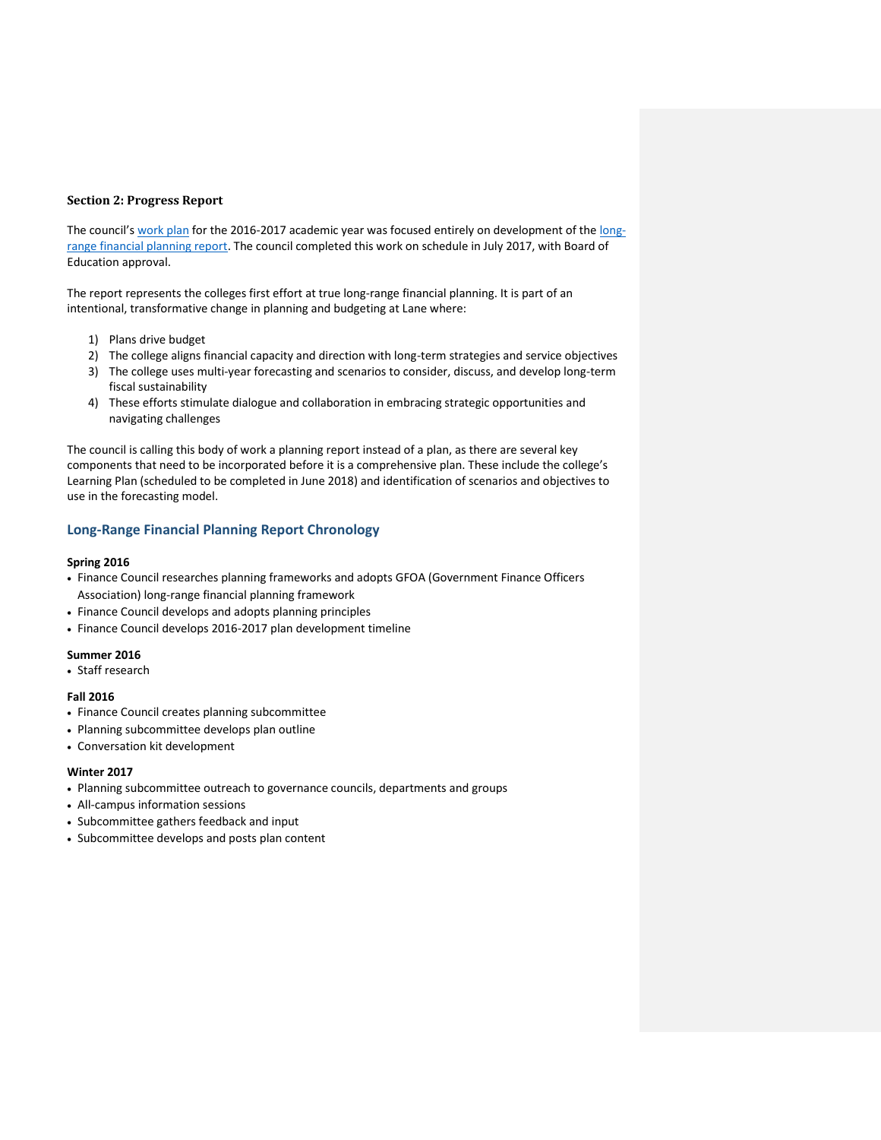### **Section 2: Progress Report**

The council's [work plan](https://www.lanecc.edu/sites/default/files/governance/finance/approved_finance_council_work_plan_2016-17_2.pdf) for the 2016-2017 academic year was focused entirely on development of the [long](https://www.lanecc.edu/governance/finance-council-long-range-financial-plan)[range financial planning report.](https://www.lanecc.edu/governance/finance-council-long-range-financial-plan) The council completed this work on schedule in July 2017, with Board of Education approval.

The report represents the colleges first effort at true long-range financial planning. It is part of an intentional, transformative change in planning and budgeting at Lane where:

- 1) Plans drive budget
- 2) The college aligns financial capacity and direction with long-term strategies and service objectives
- 3) The college uses multi-year forecasting and scenarios to consider, discuss, and develop long-term fiscal sustainability
- 4) These efforts stimulate dialogue and collaboration in embracing strategic opportunities and navigating challenges

The council is calling this body of work a planning report instead of a plan, as there are several key components that need to be incorporated before it is a comprehensive plan. These include the college's Learning Plan (scheduled to be completed in June 2018) and identification of scenarios and objectives to use in the forecasting model.

## **Long-Range Financial Planning Report Chronology**

### **Spring 2016**

- Finance Council researches planning frameworks and adopts GFOA (Government Finance Officers Association) long-range financial planning framework
- Finance Council develops and adopts planning principles
- Finance Council develops 2016-2017 plan development timeline

### **Summer 2016**

Staff research

### **Fall 2016**

- Finance Council creates planning subcommittee
- Planning subcommittee develops plan outline
- Conversation kit development

### **Winter 2017**

- Planning subcommittee outreach to governance councils, departments and groups
- All-campus information sessions
- Subcommittee gathers feedback and input
- Subcommittee develops and posts plan content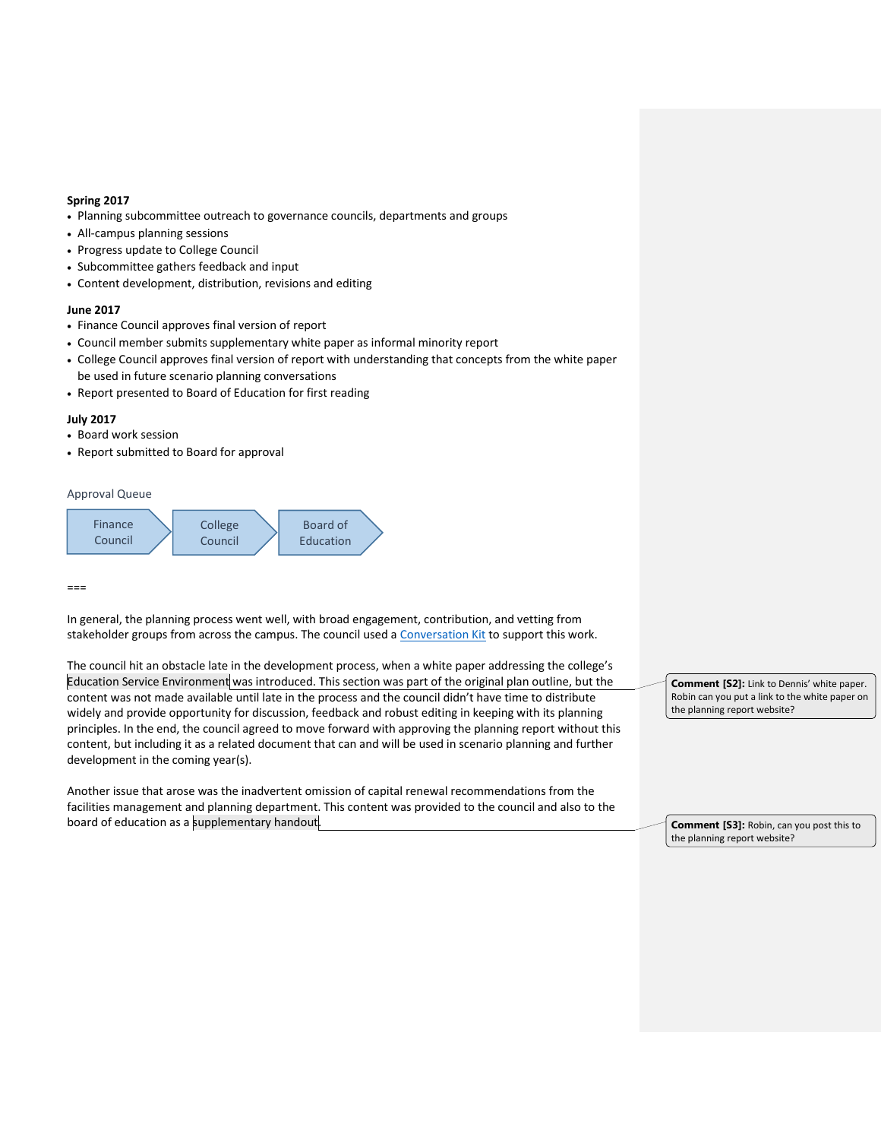## **Spring 2017**

- Planning subcommittee outreach to governance councils, departments and groups
- All-campus planning sessions
- Progress update to College Council
- Subcommittee gathers feedback and input
- Content development, distribution, revisions and editing

#### **June 2017**

- Finance Council approves final version of report
- Council member submits supplementary white paper as informal minority report
- College Council approves final version of report with understanding that concepts from the white paper be used in future scenario planning conversations
- Report presented to Board of Education for first reading

### **July 2017**

- Board work session
- Report submitted to Board for approval

Approval Queue



 $===$ 

In general, the planning process went well, with broad engagement, contribution, and vetting from stakeholder groups from across the campus. The council used [a Conversation Kit](https://www.lanecc.edu/conversation/2017-2022-long-range-financial-plan-conversation-kit) to support this work.

The council hit an obstacle late in the development process, when a white paper addressing the college's Education Service Environment was introduced. This section was part of the original plan outline, but the content was not made available until late in the process and the council didn't have time to distribute widely and provide opportunity for discussion, feedback and robust editing in keeping with its planning principles. In the end, the council agreed to move forward with approving the planning report without this content, but including it as a related document that can and will be used in scenario planning and further development in the coming year(s).

Another issue that arose was the inadvertent omission of capital renewal recommendations from the facilities management and planning department. This content was provided to the council and also to the board of education as a supplementary handout.

**Comment [S2]:** Link to Dennis' white paper. Robin can you put a link to the white paper on the planning report website?

**Comment [S3]:** Robin, can you post this to the planning report website?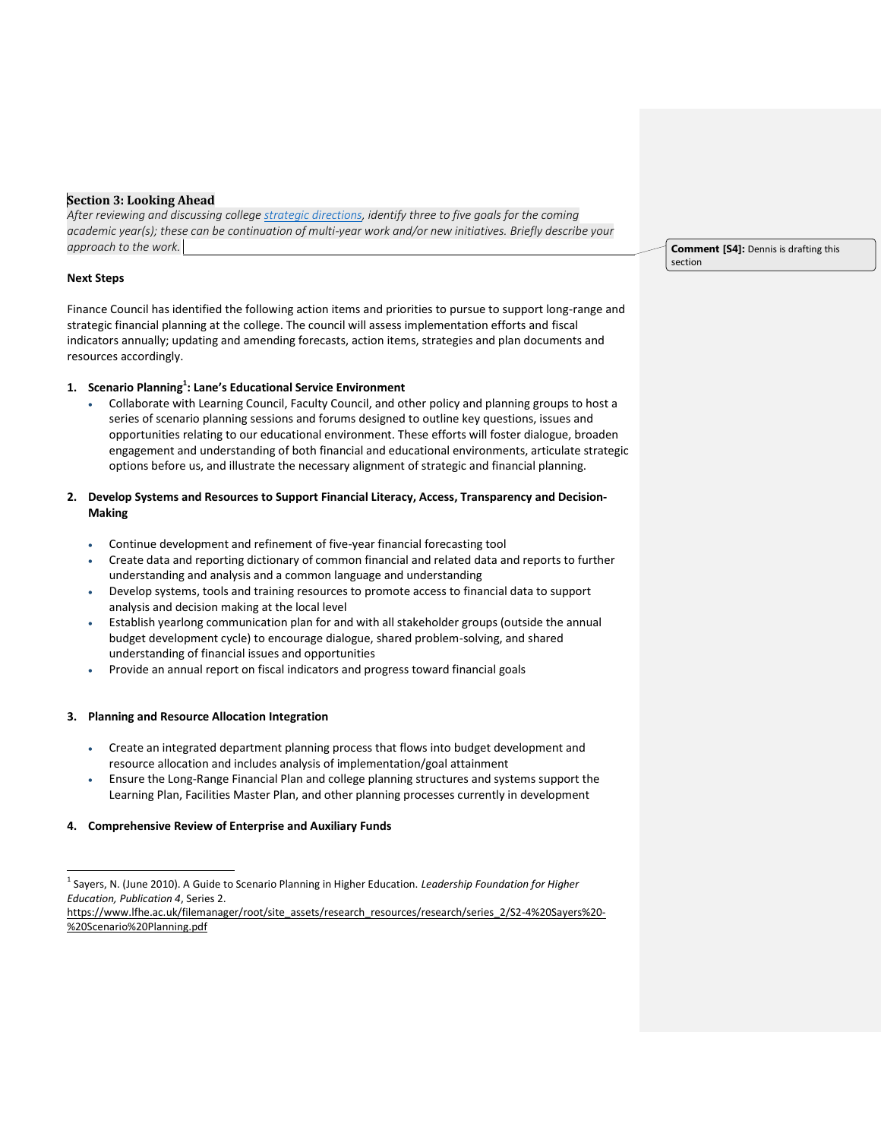## **Section 3: Looking Ahead**

*After reviewing and discussing college [strategic directions,](https://www.lanecc.edu/planning/strategic-directions) identify three to five goals for the coming academic year(s); these can be continuation of multi-year work and/or new initiatives. Briefly describe your approach to the work.* 

## **Next Steps**

 $\overline{a}$ 

Finance Council has identified the following action items and priorities to pursue to support long-range and strategic financial planning at the college. The council will assess implementation efforts and fiscal indicators annually; updating and amending forecasts, action items, strategies and plan documents and resources accordingly.

## **1. Scenario Planning<sup>1</sup> : Lane's Educational Service Environment**

 Collaborate with Learning Council, Faculty Council, and other policy and planning groups to host a series of scenario planning sessions and forums designed to outline key questions, issues and opportunities relating to our educational environment. These efforts will foster dialogue, broaden engagement and understanding of both financial and educational environments, articulate strategic options before us, and illustrate the necessary alignment of strategic and financial planning.

## **2. Develop Systems and Resources to Support Financial Literacy, Access, Transparency and Decision-Making**

- Continue development and refinement of five-year financial forecasting tool
- Create data and reporting dictionary of common financial and related data and reports to further understanding and analysis and a common language and understanding
- Develop systems, tools and training resources to promote access to financial data to support analysis and decision making at the local level
- Establish yearlong communication plan for and with all stakeholder groups (outside the annual budget development cycle) to encourage dialogue, shared problem-solving, and shared understanding of financial issues and opportunities
- Provide an annual report on fiscal indicators and progress toward financial goals

## **3. Planning and Resource Allocation Integration**

- Create an integrated department planning process that flows into budget development and resource allocation and includes analysis of implementation/goal attainment
- Ensure the Long-Range Financial Plan and college planning structures and systems support the Learning Plan, Facilities Master Plan, and other planning processes currently in development

## **4. Comprehensive Review of Enterprise and Auxiliary Funds**

**Comment [S4]:** Dennis is drafting this section

<sup>1</sup> Sayers, N. (June 2010). A Guide to Scenario Planning in Higher Education. *Leadership Foundation for Higher Education, Publication 4*, Series 2.

[https://www.lfhe.ac.uk/filemanager/root/site\\_assets/research\\_resources/research/series\\_2/S2-4%20Sayers%20-](https://www.lfhe.ac.uk/filemanager/root/site_assets/research_resources/research/series_2/S2-4%20Sayers%20-%20Scenario%20Planning.pdf) [%20Scenario%20Planning.pdf](https://www.lfhe.ac.uk/filemanager/root/site_assets/research_resources/research/series_2/S2-4%20Sayers%20-%20Scenario%20Planning.pdf)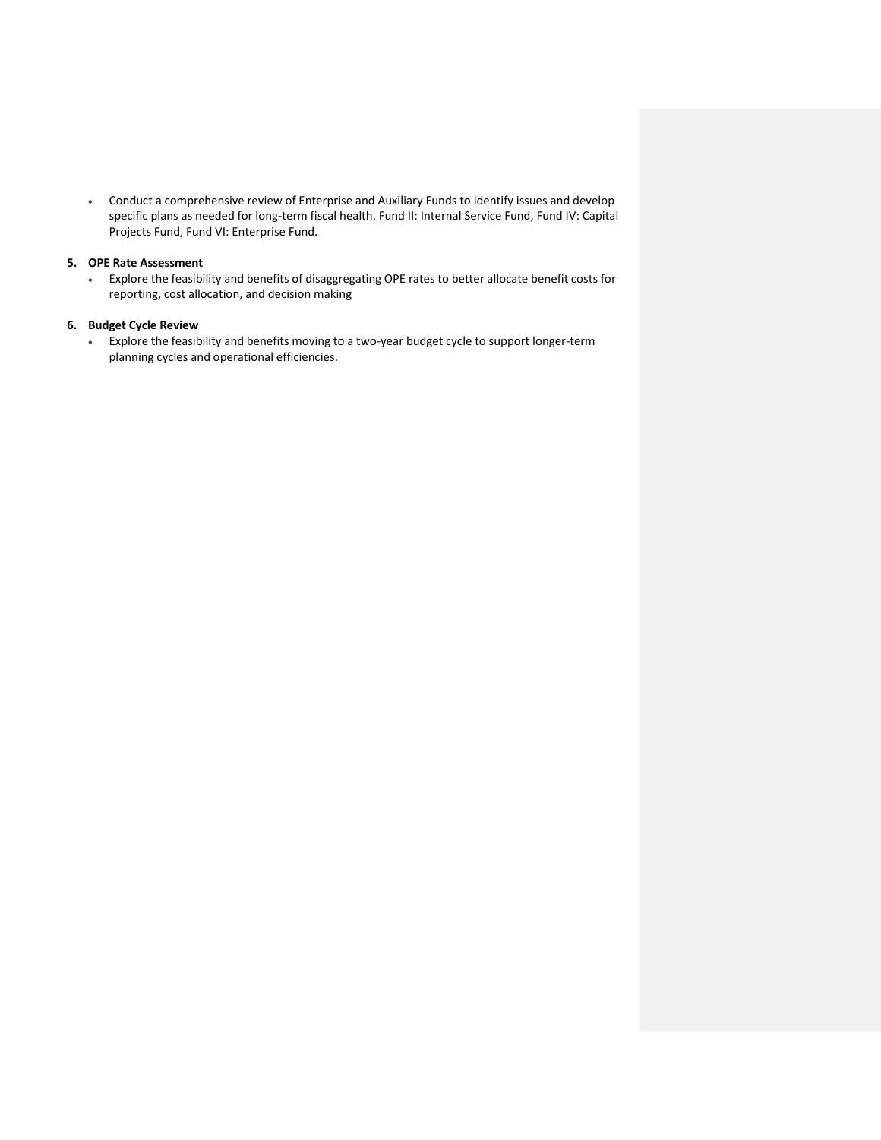Conduct a comprehensive review of Enterprise and Auxiliary Funds to identify issues and develop specific plans as needed for long-term fiscal health. Fund II: Internal Service Fund, Fund IV: Capital Projects Fund, Fund VI: Enterprise Fund.

## **5. OPE Rate Assessment**

 Explore the feasibility and benefits of disaggregating OPE rates to better allocate benefit costs for reporting, cost allocation, and decision making

## **6. Budget Cycle Review**

 Explore the feasibility and benefits moving to a two-year budget cycle to support longer-term planning cycles and operational efficiencies.